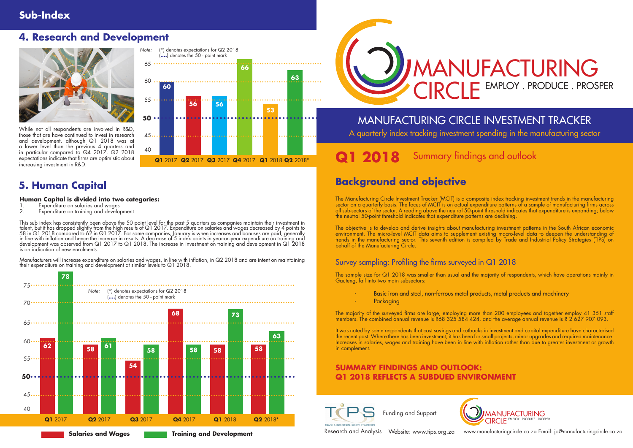# MANUFACTURING CIRCLE INVESTMENT TRACKER A quarterly index tracking investment spending in the manufacturing sector

# **1 2018** Summary findings and outlook

# MANUFACTURING EMPLOY . PRODUCE . PROSPER





www.manufacturingcircle.co.za Email: jo@manufacturingcircle.co.za

# **Sub-Index**

# **Background and objective**

### **SUMMARY FINDINGS AND OUTLOOK: Q1 2018 REFLECTS A SUBDUED ENVIRONMENT**





Research and Analysis Website: www.tips.org.za

The Manufacturing Circle Investment Tracker (MCIT) is a composite index tracking investment trends in the manufacturing sector on a quarterly basis. The focus of MCIT is on actual expenditure patterns of a sample of manufacturing firms across all sub-sectors of the sector. A reading above the neutral 50-point threshold indicates that expenditure is expanding; below the neutral 50-point threshold indicates that expenditure patterns are declining.

The objective is to develop and derive insights about manufacturing investment patterns in the South African economic environment. The micro-level MCIT data aims to supplement existing macro-level data to deepen the understanding of trends in the manufacturing sector. This seventh edition is compiled by Trade and Industrial Policy Strategies (TIPS) on behalf of the Manufacturing Circle.

### Survey sampling: Profiling the firms surveyed in Q1 2018

The sample size for Q1 2018 was smaller than usual and the majority of respondents, which have operations mainly in Gauteng, fall into two main subsectors:

- Basic iron and steel, non-ferrous metal products, metal products and machinery
- **Packaging**

The majority of the surveyed firms are large, employing more than 200 employees and together employ 41 351 staff members. The combined annual revenue is R68 325 584 424, and the average annual revenue is R 2 627 907 093.

It was noted by some respondents that cost savings and cutbacks in investment and capital expenditure have characterised the recent past. Where there has been investment, it has been for small projects, minor upgrades and required maintenance. Increases in salaries, wages and training have been in line with inflation rather than due to greater investment or growth in complement.

# **5. Human Capital**

### **Human Capital is divided into two categories:**

- 1. Expenditure on salaries and wages<br>2. Expenditure on training and develor
- Expenditure on training and development

This sub index has consistently been above the 50 point level for the past 5 quarters as companies maintain their investment in talent, but it has dropped slightly from the high results of Q1 2017. Expenditure on salaries and wages decreased by 4 points to 58 in Q1 2018 compared to 62 in Q1 2017. For some companies, January is when increases and bonuses are paid, generally in line with inflation and hence the increase in results. A decrease of 5 index points in year-on-year expenditure on training and development was observed from Q1 2017 to Q1 2018. The increase in investment on training and development in Q1 2018 is an indication of new enrolments.

Manufacturers will increase expenditure on salaries and wages, in line with inflation, in Q2 2018 and are intent on maintaining their expenditure on training and development at similar levels to Q1 2018.

**Salaries and Wages Training and Development**





# **4. Research and Development**



While not all respondents are involved in R&D, those that are have continued to invest in research and development, although Q1 2018 was at a lower level than the previous 4 quarters and in particular compared to Q4 2017. Q2 2018 expectations indicate that firms are optimistic about increasing investment in R&D.